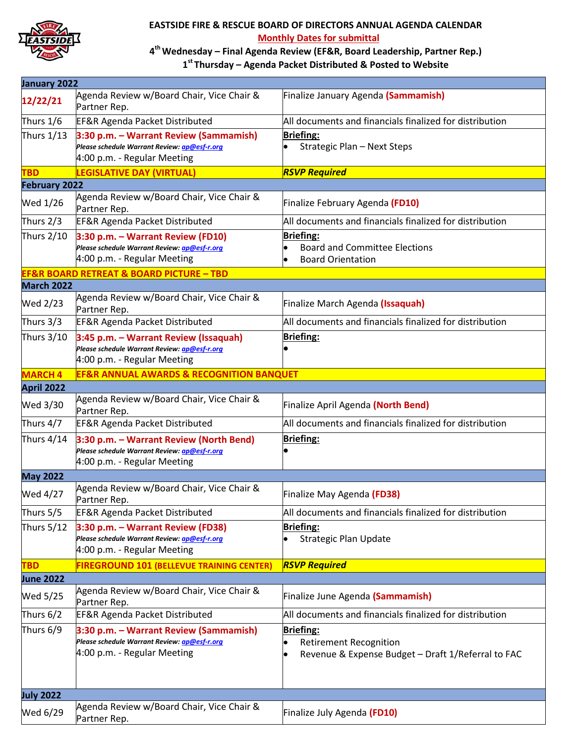

## **EASTSIDE FIRE & RESCUE BOARD OF DIRECTORS ANNUAL AGENDA CALENDAR Monthly Dates for submittal**

## **4th Wednesday – Final Agenda Review (EF&R, Board Leadership, Partner Rep.) 1st Thursday – Agenda Packet Distributed & Posted to Website**

| January 2022         |                                                                                                                        |                                                                                                         |  |
|----------------------|------------------------------------------------------------------------------------------------------------------------|---------------------------------------------------------------------------------------------------------|--|
| 12/22/21             | Agenda Review w/Board Chair, Vice Chair &<br>Partner Rep.                                                              | Finalize January Agenda (Sammamish)                                                                     |  |
| Thurs 1/6            | <b>EF&amp;R Agenda Packet Distributed</b>                                                                              | All documents and financials finalized for distribution                                                 |  |
| Thurs 1/13           | 3:30 p.m. - Warrant Review (Sammamish)<br>Please schedule Warrant Review: ap@esf-r.org<br>4:00 p.m. - Regular Meeting  | <b>Briefing:</b><br>Strategic Plan - Next Steps                                                         |  |
| <b>TBD</b>           | <b>LEGISLATIVE DAY (VIRTUAL)</b>                                                                                       | <b>RSVP Required</b>                                                                                    |  |
| <b>February 2022</b> |                                                                                                                        |                                                                                                         |  |
| Wed 1/26             | Agenda Review w/Board Chair, Vice Chair &<br>Partner Rep.                                                              | Finalize February Agenda (FD10)                                                                         |  |
| Thurs 2/3            | <b>EF&amp;R Agenda Packet Distributed</b>                                                                              | All documents and financials finalized for distribution                                                 |  |
| Thurs 2/10           | 3:30 p.m. - Warrant Review (FD10)<br>Please schedule Warrant Review: ap@esf-r.org<br>4:00 p.m. - Regular Meeting       | Briefing:<br><b>Board and Committee Elections</b><br><b>Board Orientation</b>                           |  |
|                      | <b>EF&amp;R BOARD RETREAT &amp; BOARD PICTURE - TBD</b>                                                                |                                                                                                         |  |
| <b>March 2022</b>    |                                                                                                                        |                                                                                                         |  |
| Wed 2/23             | Agenda Review w/Board Chair, Vice Chair &<br>Partner Rep.                                                              | Finalize March Agenda (Issaquah)                                                                        |  |
| Thurs 3/3            | <b>EF&amp;R Agenda Packet Distributed</b>                                                                              | All documents and financials finalized for distribution                                                 |  |
| Thurs 3/10           | 3:45 p.m. - Warrant Review (Issaquah)<br>Please schedule Warrant Review: ap@esf-r.org<br>4:00 p.m. - Regular Meeting   | <b>Briefing:</b>                                                                                        |  |
| <b>MARCH 4</b>       | <b>EF&amp;R ANNUAL AWARDS &amp; RECOGNITION BANQUET</b>                                                                |                                                                                                         |  |
| <b>April 2022</b>    |                                                                                                                        |                                                                                                         |  |
| Wed 3/30             | Agenda Review w/Board Chair, Vice Chair &<br>Partner Rep.                                                              | Finalize April Agenda (North Bend)                                                                      |  |
| Thurs 4/7            | <b>EF&amp;R Agenda Packet Distributed</b>                                                                              | All documents and financials finalized for distribution                                                 |  |
| Thurs 4/14           | 3:30 p.m. - Warrant Review (North Bend)<br>Please schedule Warrant Review: ap@esf-r.org<br>4:00 p.m. - Regular Meeting | <b>Briefing:</b>                                                                                        |  |
| <b>May 2022</b>      |                                                                                                                        |                                                                                                         |  |
| Wed 4/27             | Agenda Review w/Board Chair, Vice Chair &<br>Partner Rep.                                                              | Finalize May Agenda (FD38)                                                                              |  |
| Thurs 5/5            | <b>EF&amp;R Agenda Packet Distributed</b>                                                                              | All documents and financials finalized for distribution                                                 |  |
| Thurs $5/12$         | 3:30 p.m. - Warrant Review (FD38)<br>Please schedule Warrant Review: ap@esf-r.org<br>4:00 p.m. - Regular Meeting       | <b>Briefing:</b><br><b>Strategic Plan Update</b>                                                        |  |
| <b>TBD</b>           | <b>FIREGROUND 101 (BELLEVUE TRAINING CENTER)</b>                                                                       | <b>RSVP Required</b>                                                                                    |  |
| <b>June 2022</b>     |                                                                                                                        |                                                                                                         |  |
| Wed 5/25             | Agenda Review w/Board Chair, Vice Chair &<br>Partner Rep.                                                              | Finalize June Agenda (Sammamish)                                                                        |  |
| Thurs 6/2            | <b>EF&amp;R Agenda Packet Distributed</b>                                                                              | All documents and financials finalized for distribution                                                 |  |
| Thurs 6/9            | 3:30 p.m. - Warrant Review (Sammamish)<br>Please schedule Warrant Review: ap@esf-r.org<br>4:00 p.m. - Regular Meeting  | <b>Briefing:</b><br><b>Retirement Recognition</b><br>Revenue & Expense Budget - Draft 1/Referral to FAC |  |
| <b>July 2022</b>     |                                                                                                                        |                                                                                                         |  |
| Wed 6/29             | Agenda Review w/Board Chair, Vice Chair &<br>Partner Rep.                                                              | Finalize July Agenda (FD10)                                                                             |  |